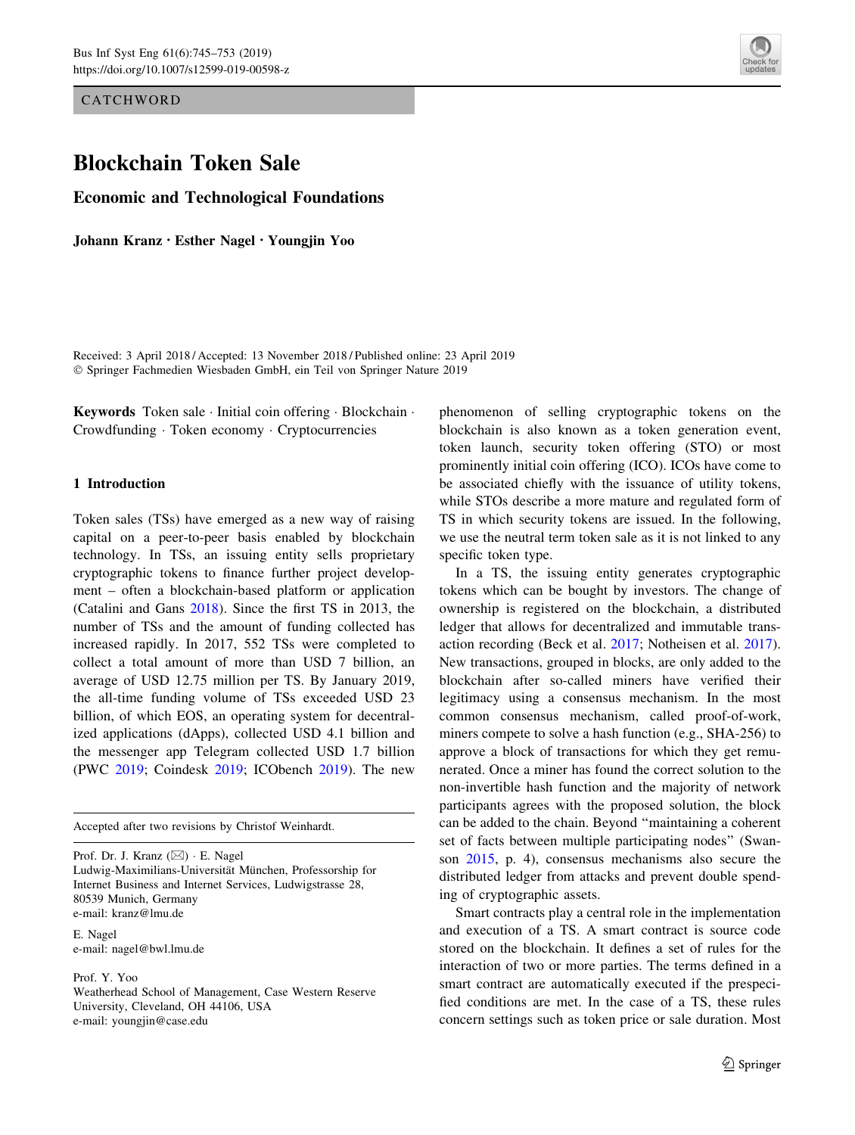**CATCHWORD** 



# Blockchain Token Sale

Economic and Technological Foundations

Johann Kranz • Esther Nagel • Youngjin Yoo

Received: 3 April 2018 / Accepted: 13 November 2018 / Published online: 23 April 2019 - Springer Fachmedien Wiesbaden GmbH, ein Teil von Springer Nature 2019

Keywords Token sale · Initial coin offering · Blockchain · Crowdfunding - Token economy - Cryptocurrencies

# 1 Introduction

Token sales (TSs) have emerged as a new way of raising capital on a peer-to-peer basis enabled by blockchain technology. In TSs, an issuing entity sells proprietary cryptographic tokens to finance further project development – often a blockchain-based platform or application (Catalini and Gans [2018\)](#page-7-0). Since the first TS in 2013, the number of TSs and the amount of funding collected has increased rapidly. In 2017, 552 TSs were completed to collect a total amount of more than USD 7 billion, an average of USD 12.75 million per TS. By January 2019, the all-time funding volume of TSs exceeded USD 23 billion, of which EOS, an operating system for decentralized applications (dApps), collected USD 4.1 billion and the messenger app Telegram collected USD 1.7 billion (PWC [2019](#page-8-0); Coindesk [2019;](#page-7-0) ICObench [2019](#page-7-0)). The new

Accepted after two revisions by Christof Weinhardt.

Prof. Dr. J. Kranz (⊠) · E. Nagel Ludwig-Maximilians-Universität München, Professorship for Internet Business and Internet Services, Ludwigstrasse 28, 80539 Munich, Germany e-mail: kranz@lmu.de

E. Nagel e-mail: nagel@bwl.lmu.de

Prof. Y. Yoo

Weatherhead School of Management, Case Western Reserve University, Cleveland, OH 44106, USA e-mail: youngjin@case.edu

phenomenon of selling cryptographic tokens on the blockchain is also known as a token generation event, token launch, security token offering (STO) or most prominently initial coin offering (ICO). ICOs have come to be associated chiefly with the issuance of utility tokens, while STOs describe a more mature and regulated form of TS in which security tokens are issued. In the following, we use the neutral term token sale as it is not linked to any specific token type.

In a TS, the issuing entity generates cryptographic tokens which can be bought by investors. The change of ownership is registered on the blockchain, a distributed ledger that allows for decentralized and immutable transaction recording (Beck et al. [2017;](#page-7-0) Notheisen et al. [2017](#page-7-0)). New transactions, grouped in blocks, are only added to the blockchain after so-called miners have verified their legitimacy using a consensus mechanism. In the most common consensus mechanism, called proof-of-work, miners compete to solve a hash function (e.g., SHA-256) to approve a block of transactions for which they get remunerated. Once a miner has found the correct solution to the non-invertible hash function and the majority of network participants agrees with the proposed solution, the block can be added to the chain. Beyond ''maintaining a coherent set of facts between multiple participating nodes'' (Swanson [2015,](#page-8-0) p. 4), consensus mechanisms also secure the distributed ledger from attacks and prevent double spending of cryptographic assets.

Smart contracts play a central role in the implementation and execution of a TS. A smart contract is source code stored on the blockchain. It defines a set of rules for the interaction of two or more parties. The terms defined in a smart contract are automatically executed if the prespecified conditions are met. In the case of a TS, these rules concern settings such as token price or sale duration. Most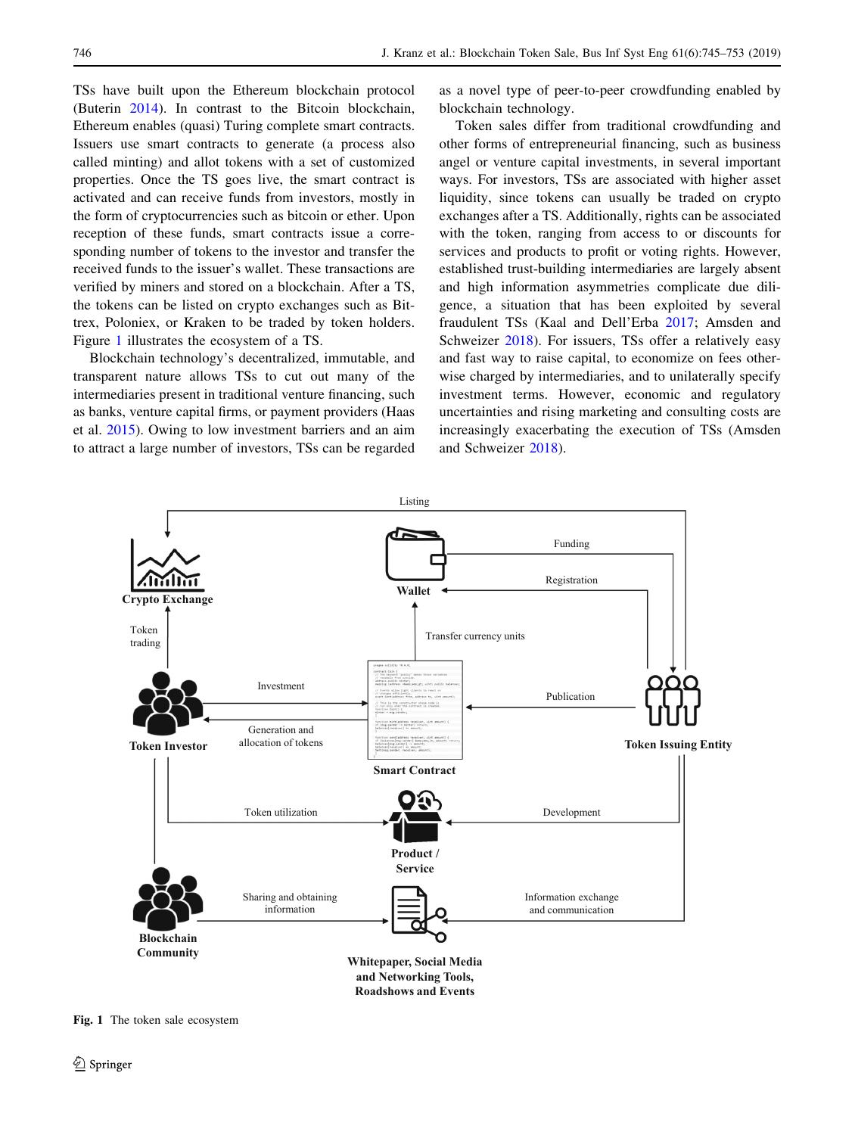TSs have built upon the Ethereum blockchain protocol (Buterin [2014](#page-7-0)). In contrast to the Bitcoin blockchain, Ethereum enables (quasi) Turing complete smart contracts. Issuers use smart contracts to generate (a process also called minting) and allot tokens with a set of customized properties. Once the TS goes live, the smart contract is activated and can receive funds from investors, mostly in the form of cryptocurrencies such as bitcoin or ether. Upon reception of these funds, smart contracts issue a corresponding number of tokens to the investor and transfer the received funds to the issuer's wallet. These transactions are verified by miners and stored on a blockchain. After a TS, the tokens can be listed on crypto exchanges such as Bittrex, Poloniex, or Kraken to be traded by token holders. Figure 1 illustrates the ecosystem of a TS.

Blockchain technology's decentralized, immutable, and transparent nature allows TSs to cut out many of the intermediaries present in traditional venture financing, such as banks, venture capital firms, or payment providers (Haas et al. [2015](#page-7-0)). Owing to low investment barriers and an aim to attract a large number of investors, TSs can be regarded

as a novel type of peer-to-peer crowdfunding enabled by blockchain technology.

Token sales differ from traditional crowdfunding and other forms of entrepreneurial financing, such as business angel or venture capital investments, in several important ways. For investors, TSs are associated with higher asset liquidity, since tokens can usually be traded on crypto exchanges after a TS. Additionally, rights can be associated with the token, ranging from access to or discounts for services and products to profit or voting rights. However, established trust-building intermediaries are largely absent and high information asymmetries complicate due diligence, a situation that has been exploited by several fraudulent TSs (Kaal and Dell'Erba [2017;](#page-7-0) Amsden and Schweizer [2018\)](#page-7-0). For issuers, TSs offer a relatively easy and fast way to raise capital, to economize on fees otherwise charged by intermediaries, and to unilaterally specify investment terms. However, economic and regulatory uncertainties and rising marketing and consulting costs are increasingly exacerbating the execution of TSs (Amsden and Schweizer [2018\)](#page-7-0).



Fig. 1 The token sale ecosystem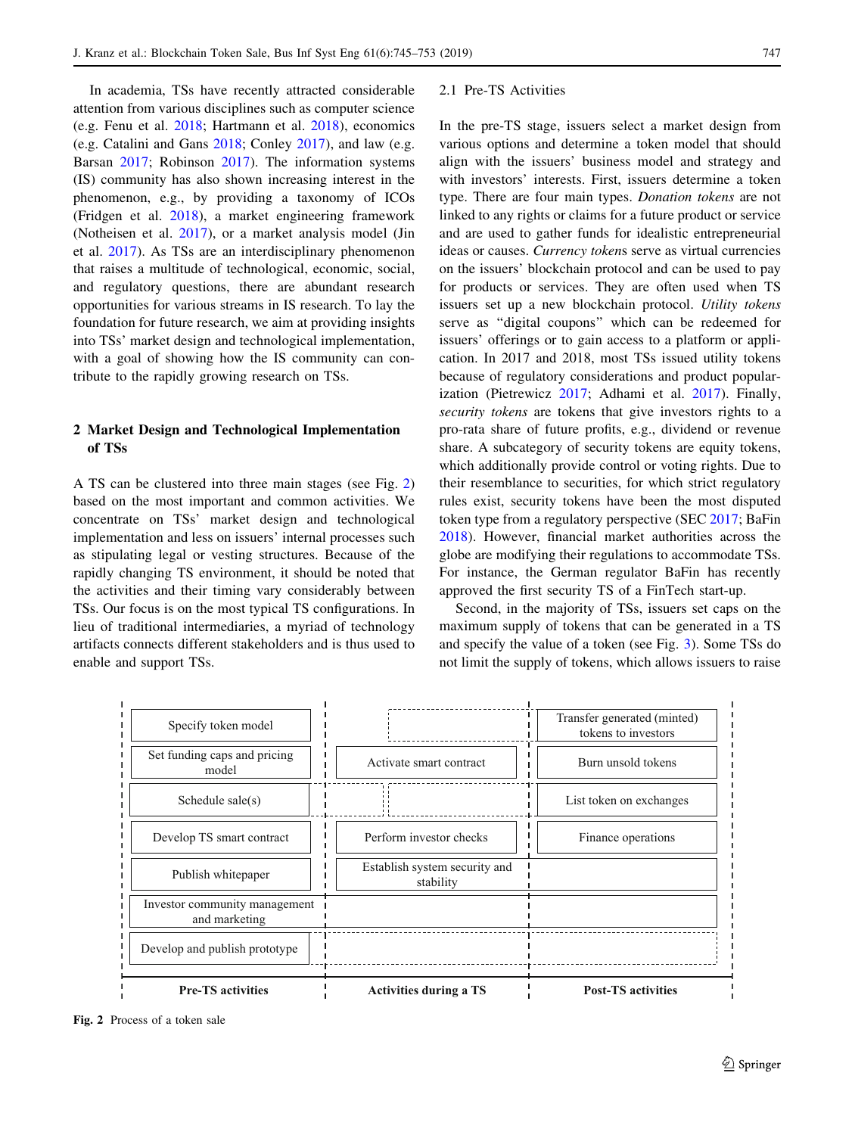In academia, TSs have recently attracted considerable attention from various disciplines such as computer science (e.g. Fenu et al. [2018](#page-7-0); Hartmann et al. [2018\)](#page-7-0), economics (e.g. Catalini and Gans [2018;](#page-7-0) Conley [2017\)](#page-7-0), and law (e.g. Barsan [2017;](#page-7-0) Robinson [2017](#page-8-0)). The information systems (IS) community has also shown increasing interest in the phenomenon, e.g., by providing a taxonomy of ICOs (Fridgen et al. [2018](#page-7-0)), a market engineering framework (Notheisen et al. [2017\)](#page-7-0), or a market analysis model (Jin et al. [2017](#page-7-0)). As TSs are an interdisciplinary phenomenon that raises a multitude of technological, economic, social, and regulatory questions, there are abundant research opportunities for various streams in IS research. To lay the foundation for future research, we aim at providing insights into TSs' market design and technological implementation, with a goal of showing how the IS community can contribute to the rapidly growing research on TSs.

# 2 Market Design and Technological Implementation of TSs

A TS can be clustered into three main stages (see Fig. 2) based on the most important and common activities. We concentrate on TSs' market design and technological implementation and less on issuers' internal processes such as stipulating legal or vesting structures. Because of the rapidly changing TS environment, it should be noted that the activities and their timing vary considerably between TSs. Our focus is on the most typical TS configurations. In lieu of traditional intermediaries, a myriad of technology artifacts connects different stakeholders and is thus used to enable and support TSs.

## 2.1 Pre-TS Activities

In the pre-TS stage, issuers select a market design from various options and determine a token model that should align with the issuers' business model and strategy and with investors' interests. First, issuers determine a token type. There are four main types. Donation tokens are not linked to any rights or claims for a future product or service and are used to gather funds for idealistic entrepreneurial ideas or causes. Currency tokens serve as virtual currencies on the issuers' blockchain protocol and can be used to pay for products or services. They are often used when TS issuers set up a new blockchain protocol. Utility tokens serve as ''digital coupons'' which can be redeemed for issuers' offerings or to gain access to a platform or application. In 2017 and 2018, most TSs issued utility tokens because of regulatory considerations and product popularization (Pietrewicz [2017](#page-7-0); Adhami et al. [2017](#page-7-0)). Finally, security tokens are tokens that give investors rights to a pro-rata share of future profits, e.g., dividend or revenue share. A subcategory of security tokens are equity tokens, which additionally provide control or voting rights. Due to their resemblance to securities, for which strict regulatory rules exist, security tokens have been the most disputed token type from a regulatory perspective (SEC [2017;](#page-8-0) BaFin [2018](#page-7-0)). However, financial market authorities across the globe are modifying their regulations to accommodate TSs. For instance, the German regulator BaFin has recently approved the first security TS of a FinTech start-up.

Second, in the majority of TSs, issuers set caps on the maximum supply of tokens that can be generated in a TS and specify the value of a token (see Fig. [3\)](#page-3-0). Some TSs do not limit the supply of tokens, which allows issuers to raise

| <b>Pre-TS activities</b>                       | <b>Activities during a TS</b>              | <b>Post-TS activities</b>                          |  |
|------------------------------------------------|--------------------------------------------|----------------------------------------------------|--|
| Develop and publish prototype                  |                                            |                                                    |  |
| Investor community management<br>and marketing |                                            |                                                    |  |
| Publish whitepaper                             | Establish system security and<br>stability |                                                    |  |
| Develop TS smart contract                      | Perform investor checks                    | Finance operations                                 |  |
| Schedule sale $(s)$                            | $\mathbf{L}$                               | List token on exchanges                            |  |
| Set funding caps and pricing<br>model          | Activate smart contract                    | Burn unsold tokens                                 |  |
| Specify token model                            |                                            | Transfer generated (minted)<br>tokens to investors |  |

Fig. 2 Process of a token sale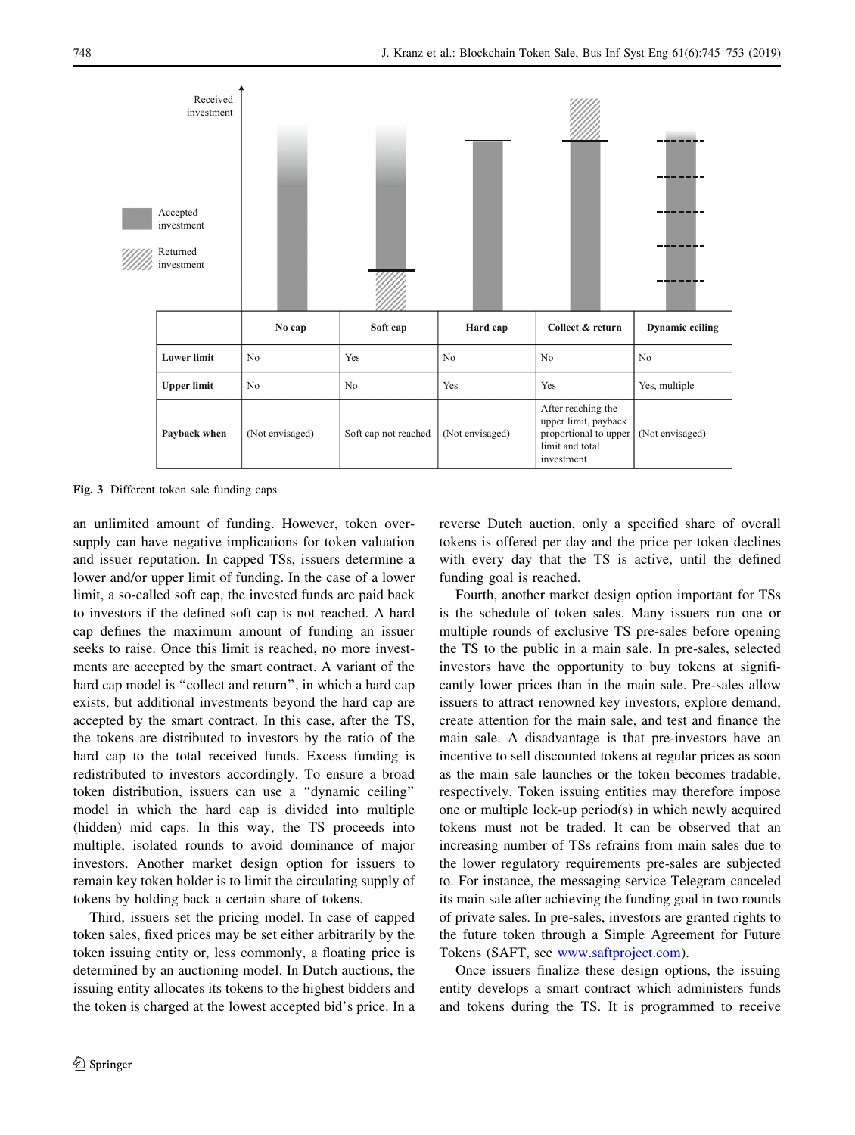<span id="page-3-0"></span>

Fig. 3 Different token sale funding caps

an unlimited amount of funding. However, token oversupply can have negative implications for token valuation and issuer reputation. In capped TSs, issuers determine a lower and/or upper limit of funding. In the case of a lower limit, a so-called soft cap, the invested funds are paid back to investors if the defined soft cap is not reached. A hard cap defines the maximum amount of funding an issuer seeks to raise. Once this limit is reached, no more investments are accepted by the smart contract. A variant of the hard cap model is "collect and return", in which a hard cap exists, but additional investments beyond the hard cap are accepted by the smart contract. In this case, after the TS, the tokens are distributed to investors by the ratio of the hard cap to the total received funds. Excess funding is redistributed to investors accordingly. To ensure a broad token distribution, issuers can use a ''dynamic ceiling'' model in which the hard cap is divided into multiple (hidden) mid caps. In this way, the TS proceeds into multiple, isolated rounds to avoid dominance of major investors. Another market design option for issuers to remain key token holder is to limit the circulating supply of tokens by holding back a certain share of tokens.

Third, issuers set the pricing model. In case of capped token sales, fixed prices may be set either arbitrarily by the token issuing entity or, less commonly, a floating price is determined by an auctioning model. In Dutch auctions, the issuing entity allocates its tokens to the highest bidders and the token is charged at the lowest accepted bid's price. In a reverse Dutch auction, only a specified share of overall tokens is offered per day and the price per token declines with every day that the TS is active, until the defined funding goal is reached.

Fourth, another market design option important for TSs is the schedule of token sales. Many issuers run one or multiple rounds of exclusive TS pre-sales before opening the TS to the public in a main sale. In pre-sales, selected investors have the opportunity to buy tokens at significantly lower prices than in the main sale. Pre-sales allow issuers to attract renowned key investors, explore demand, create attention for the main sale, and test and finance the main sale. A disadvantage is that pre-investors have an incentive to sell discounted tokens at regular prices as soon as the main sale launches or the token becomes tradable, respectively. Token issuing entities may therefore impose one or multiple lock-up period(s) in which newly acquired tokens must not be traded. It can be observed that an increasing number of TSs refrains from main sales due to the lower regulatory requirements pre-sales are subjected to. For instance, the messaging service Telegram canceled its main sale after achieving the funding goal in two rounds of private sales. In pre-sales, investors are granted rights to the future token through a Simple Agreement for Future Tokens (SAFT, see [www.saftproject.com\)](http://www.saftproject.com).

Once issuers finalize these design options, the issuing entity develops a smart contract which administers funds and tokens during the TS. It is programmed to receive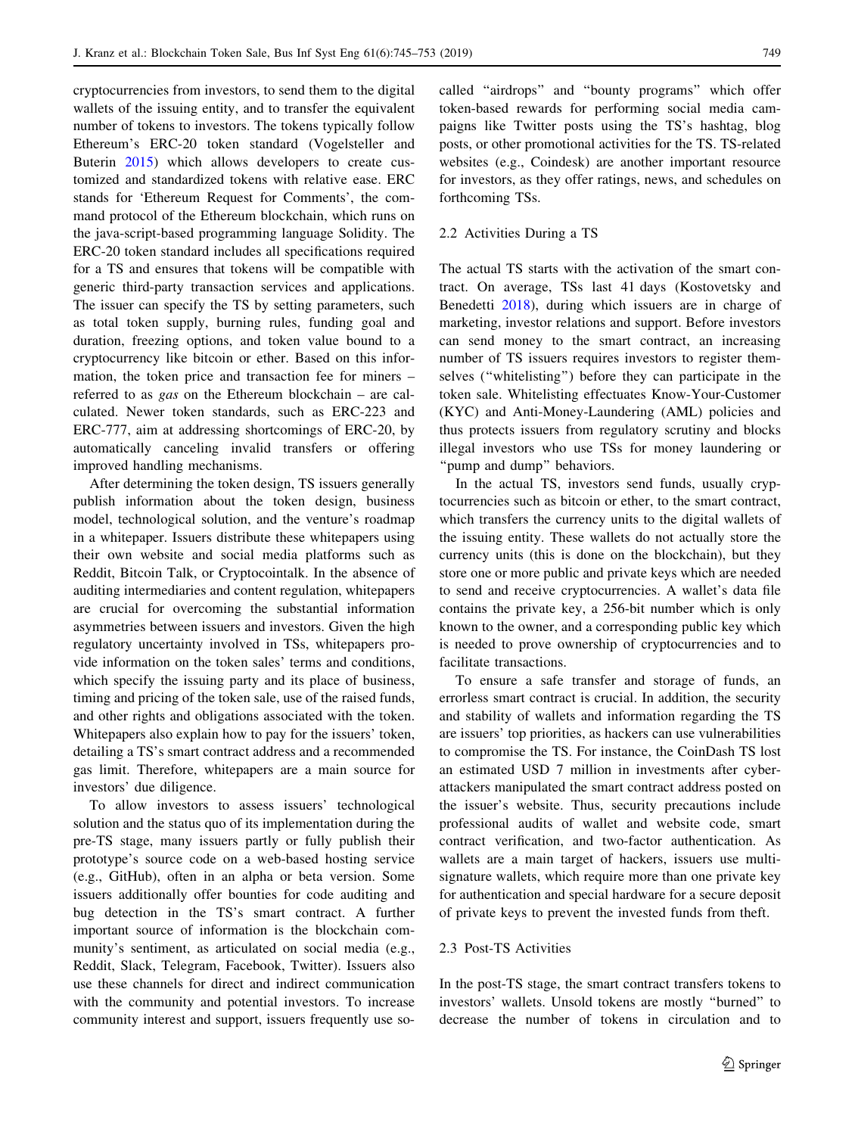cryptocurrencies from investors, to send them to the digital wallets of the issuing entity, and to transfer the equivalent number of tokens to investors. The tokens typically follow Ethereum's ERC-20 token standard (Vogelsteller and Buterin [2015](#page-8-0)) which allows developers to create customized and standardized tokens with relative ease. ERC stands for 'Ethereum Request for Comments', the command protocol of the Ethereum blockchain, which runs on the java-script-based programming language Solidity. The ERC-20 token standard includes all specifications required for a TS and ensures that tokens will be compatible with generic third-party transaction services and applications. The issuer can specify the TS by setting parameters, such as total token supply, burning rules, funding goal and duration, freezing options, and token value bound to a cryptocurrency like bitcoin or ether. Based on this information, the token price and transaction fee for miners – referred to as gas on the Ethereum blockchain – are calculated. Newer token standards, such as ERC-223 and ERC-777, aim at addressing shortcomings of ERC-20, by automatically canceling invalid transfers or offering improved handling mechanisms.

After determining the token design, TS issuers generally publish information about the token design, business model, technological solution, and the venture's roadmap in a whitepaper. Issuers distribute these whitepapers using their own website and social media platforms such as Reddit, Bitcoin Talk, or Cryptocointalk. In the absence of auditing intermediaries and content regulation, whitepapers are crucial for overcoming the substantial information asymmetries between issuers and investors. Given the high regulatory uncertainty involved in TSs, whitepapers provide information on the token sales' terms and conditions, which specify the issuing party and its place of business, timing and pricing of the token sale, use of the raised funds, and other rights and obligations associated with the token. Whitepapers also explain how to pay for the issuers' token, detailing a TS's smart contract address and a recommended gas limit. Therefore, whitepapers are a main source for investors' due diligence.

To allow investors to assess issuers' technological solution and the status quo of its implementation during the pre-TS stage, many issuers partly or fully publish their prototype's source code on a web-based hosting service (e.g., GitHub), often in an alpha or beta version. Some issuers additionally offer bounties for code auditing and bug detection in the TS's smart contract. A further important source of information is the blockchain community's sentiment, as articulated on social media (e.g., Reddit, Slack, Telegram, Facebook, Twitter). Issuers also use these channels for direct and indirect communication with the community and potential investors. To increase community interest and support, issuers frequently use socalled ''airdrops'' and ''bounty programs'' which offer token-based rewards for performing social media campaigns like Twitter posts using the TS's hashtag, blog posts, or other promotional activities for the TS. TS-related websites (e.g., Coindesk) are another important resource for investors, as they offer ratings, news, and schedules on forthcoming TSs.

# 2.2 Activities During a TS

The actual TS starts with the activation of the smart contract. On average, TSs last 41 days (Kostovetsky and Benedetti [2018\)](#page-7-0), during which issuers are in charge of marketing, investor relations and support. Before investors can send money to the smart contract, an increasing number of TS issuers requires investors to register themselves (''whitelisting'') before they can participate in the token sale. Whitelisting effectuates Know-Your-Customer (KYC) and Anti-Money-Laundering (AML) policies and thus protects issuers from regulatory scrutiny and blocks illegal investors who use TSs for money laundering or "pump and dump" behaviors.

In the actual TS, investors send funds, usually cryptocurrencies such as bitcoin or ether, to the smart contract, which transfers the currency units to the digital wallets of the issuing entity. These wallets do not actually store the currency units (this is done on the blockchain), but they store one or more public and private keys which are needed to send and receive cryptocurrencies. A wallet's data file contains the private key, a 256-bit number which is only known to the owner, and a corresponding public key which is needed to prove ownership of cryptocurrencies and to facilitate transactions.

To ensure a safe transfer and storage of funds, an errorless smart contract is crucial. In addition, the security and stability of wallets and information regarding the TS are issuers' top priorities, as hackers can use vulnerabilities to compromise the TS. For instance, the CoinDash TS lost an estimated USD 7 million in investments after cyberattackers manipulated the smart contract address posted on the issuer's website. Thus, security precautions include professional audits of wallet and website code, smart contract verification, and two-factor authentication. As wallets are a main target of hackers, issuers use multisignature wallets, which require more than one private key for authentication and special hardware for a secure deposit of private keys to prevent the invested funds from theft.

## 2.3 Post-TS Activities

In the post-TS stage, the smart contract transfers tokens to investors' wallets. Unsold tokens are mostly ''burned'' to decrease the number of tokens in circulation and to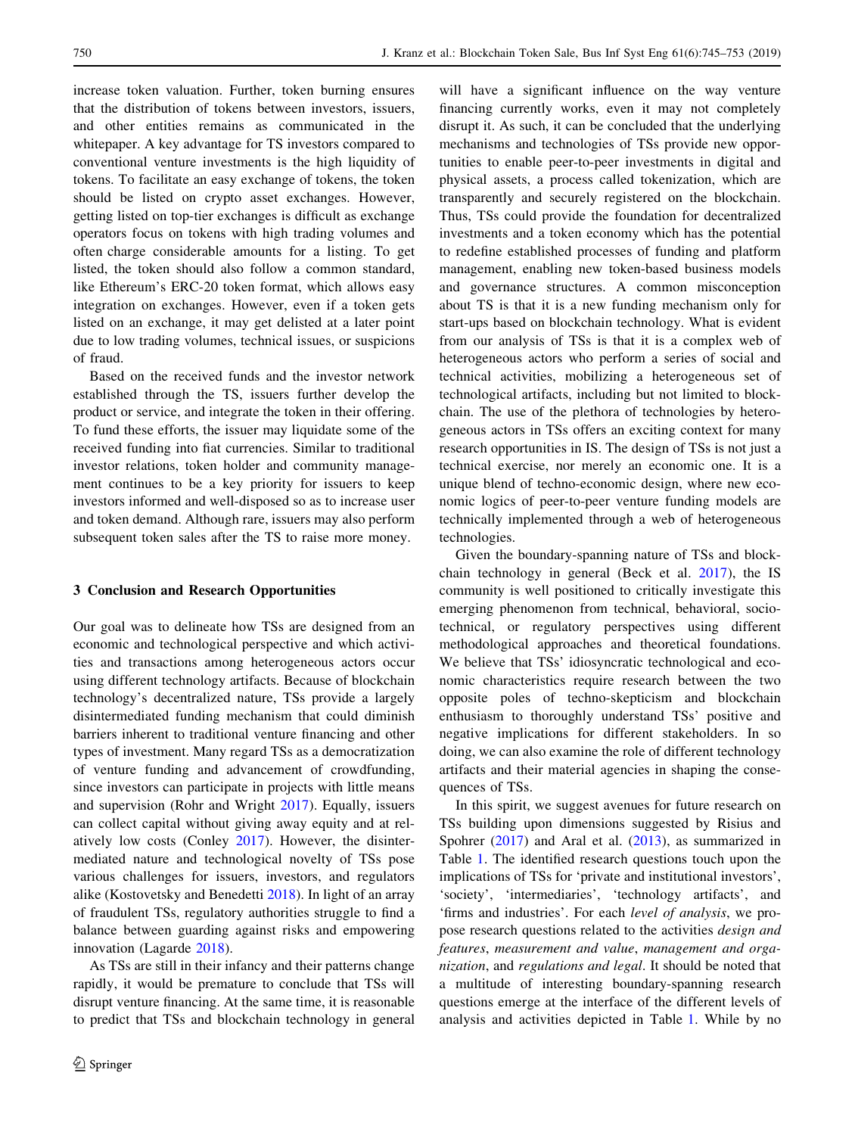increase token valuation. Further, token burning ensures that the distribution of tokens between investors, issuers, and other entities remains as communicated in the whitepaper. A key advantage for TS investors compared to conventional venture investments is the high liquidity of tokens. To facilitate an easy exchange of tokens, the token should be listed on crypto asset exchanges. However, getting listed on top-tier exchanges is difficult as exchange operators focus on tokens with high trading volumes and often charge considerable amounts for a listing. To get listed, the token should also follow a common standard, like Ethereum's ERC-20 token format, which allows easy integration on exchanges. However, even if a token gets listed on an exchange, it may get delisted at a later point due to low trading volumes, technical issues, or suspicions of fraud.

Based on the received funds and the investor network established through the TS, issuers further develop the product or service, and integrate the token in their offering. To fund these efforts, the issuer may liquidate some of the received funding into fiat currencies. Similar to traditional investor relations, token holder and community management continues to be a key priority for issuers to keep investors informed and well-disposed so as to increase user and token demand. Although rare, issuers may also perform subsequent token sales after the TS to raise more money.

#### 3 Conclusion and Research Opportunities

Our goal was to delineate how TSs are designed from an economic and technological perspective and which activities and transactions among heterogeneous actors occur using different technology artifacts. Because of blockchain technology's decentralized nature, TSs provide a largely disintermediated funding mechanism that could diminish barriers inherent to traditional venture financing and other types of investment. Many regard TSs as a democratization of venture funding and advancement of crowdfunding, since investors can participate in projects with little means and supervision (Rohr and Wright [2017](#page-8-0)). Equally, issuers can collect capital without giving away equity and at relatively low costs (Conley [2017](#page-7-0)). However, the disintermediated nature and technological novelty of TSs pose various challenges for issuers, investors, and regulators alike (Kostovetsky and Benedetti [2018](#page-7-0)). In light of an array of fraudulent TSs, regulatory authorities struggle to find a balance between guarding against risks and empowering innovation (Lagarde [2018\)](#page-7-0).

As TSs are still in their infancy and their patterns change rapidly, it would be premature to conclude that TSs will disrupt venture financing. At the same time, it is reasonable to predict that TSs and blockchain technology in general

will have a significant influence on the way venture financing currently works, even it may not completely disrupt it. As such, it can be concluded that the underlying mechanisms and technologies of TSs provide new opportunities to enable peer-to-peer investments in digital and physical assets, a process called tokenization, which are transparently and securely registered on the blockchain. Thus, TSs could provide the foundation for decentralized investments and a token economy which has the potential to redefine established processes of funding and platform management, enabling new token-based business models and governance structures. A common misconception about TS is that it is a new funding mechanism only for start-ups based on blockchain technology. What is evident from our analysis of TSs is that it is a complex web of heterogeneous actors who perform a series of social and technical activities, mobilizing a heterogeneous set of technological artifacts, including but not limited to blockchain. The use of the plethora of technologies by heterogeneous actors in TSs offers an exciting context for many research opportunities in IS. The design of TSs is not just a technical exercise, nor merely an economic one. It is a unique blend of techno-economic design, where new economic logics of peer-to-peer venture funding models are technically implemented through a web of heterogeneous technologies.

Given the boundary-spanning nature of TSs and blockchain technology in general (Beck et al. [2017\)](#page-7-0), the IS community is well positioned to critically investigate this emerging phenomenon from technical, behavioral, sociotechnical, or regulatory perspectives using different methodological approaches and theoretical foundations. We believe that TSs' idiosyncratic technological and economic characteristics require research between the two opposite poles of techno-skepticism and blockchain enthusiasm to thoroughly understand TSs' positive and negative implications for different stakeholders. In so doing, we can also examine the role of different technology artifacts and their material agencies in shaping the consequences of TSs.

In this spirit, we suggest avenues for future research on TSs building upon dimensions suggested by Risius and Spohrer [\(2017](#page-8-0)) and Aral et al. [\(2013](#page-7-0)), as summarized in Table [1](#page-6-0). The identified research questions touch upon the implications of TSs for 'private and institutional investors', 'society', 'intermediaries', 'technology artifacts', and 'firms and industries'. For each level of analysis, we propose research questions related to the activities design and features, measurement and value, management and organization, and regulations and legal. It should be noted that a multitude of interesting boundary-spanning research questions emerge at the interface of the different levels of analysis and activities depicted in Table [1](#page-6-0). While by no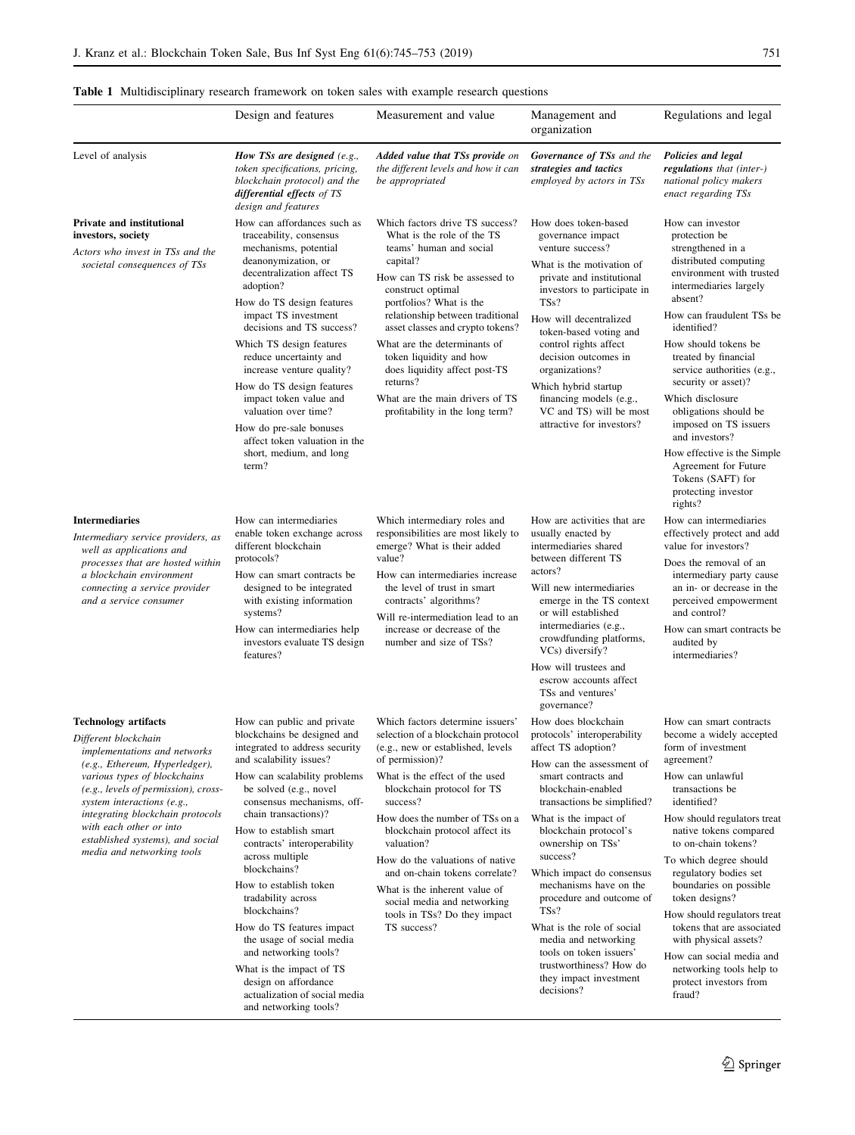# <span id="page-6-0"></span>Table 1 Multidisciplinary research framework on token sales with example research questions

|                                                                                                                                                                                                                                                                                                                                                              | Design and features                                                                                                                                                                                                                                                                                                                                                                                                                                                                                                                                                                                 | Measurement and value                                                                                                                                                                                                                                                                                                                                                                                                                                                             | Management and<br>organization                                                                                                                                                                                                                                                                                                                                                                                                                                                                                       | Regulations and legal                                                                                                                                                                                                                                                                                                                                                                                                                                                                                          |
|--------------------------------------------------------------------------------------------------------------------------------------------------------------------------------------------------------------------------------------------------------------------------------------------------------------------------------------------------------------|-----------------------------------------------------------------------------------------------------------------------------------------------------------------------------------------------------------------------------------------------------------------------------------------------------------------------------------------------------------------------------------------------------------------------------------------------------------------------------------------------------------------------------------------------------------------------------------------------------|-----------------------------------------------------------------------------------------------------------------------------------------------------------------------------------------------------------------------------------------------------------------------------------------------------------------------------------------------------------------------------------------------------------------------------------------------------------------------------------|----------------------------------------------------------------------------------------------------------------------------------------------------------------------------------------------------------------------------------------------------------------------------------------------------------------------------------------------------------------------------------------------------------------------------------------------------------------------------------------------------------------------|----------------------------------------------------------------------------------------------------------------------------------------------------------------------------------------------------------------------------------------------------------------------------------------------------------------------------------------------------------------------------------------------------------------------------------------------------------------------------------------------------------------|
| Level of analysis                                                                                                                                                                                                                                                                                                                                            | How TSs are designed $(e.g.,$<br>token specifications, pricing,<br>blockchain protocol) and the<br>differential effects of TS<br>design and features                                                                                                                                                                                                                                                                                                                                                                                                                                                | <b>Added value that TSs provide</b> on<br>the different levels and how it can<br>be appropriated                                                                                                                                                                                                                                                                                                                                                                                  | <b>Governance of TSs and the</b><br>strategies and tactics<br>employed by actors in TSs                                                                                                                                                                                                                                                                                                                                                                                                                              | <b>Policies and legal</b><br>regulations that (inter-)<br>national policy makers<br>enact regarding TSs                                                                                                                                                                                                                                                                                                                                                                                                        |
| <b>Private and institutional</b><br>investors, society<br>Actors who invest in TSs and the<br>societal consequences of TSs                                                                                                                                                                                                                                   | How can affordances such as<br>traceability, consensus<br>mechanisms, potential<br>deanonymization, or<br>decentralization affect TS<br>adoption?<br>How do TS design features<br>impact TS investment<br>decisions and TS success?<br>Which TS design features<br>reduce uncertainty and<br>increase venture quality?<br>How do TS design features<br>impact token value and<br>valuation over time?<br>How do pre-sale bonuses<br>affect token valuation in the<br>short, medium, and long<br>term?                                                                                               | Which factors drive TS success?<br>What is the role of the TS<br>teams' human and social<br>capital?<br>How can TS risk be assessed to<br>construct optimal<br>portfolios? What is the<br>relationship between traditional<br>asset classes and crypto tokens?<br>What are the determinants of<br>token liquidity and how<br>does liquidity affect post-TS<br>returns?<br>What are the main drivers of TS<br>profitability in the long term?                                      | How does token-based<br>governance impact<br>venture success?<br>What is the motivation of<br>private and institutional<br>investors to participate in<br>TSs?<br>How will decentralized<br>token-based voting and<br>control rights affect<br>decision outcomes in<br>organizations?<br>Which hybrid startup<br>financing models (e.g.,<br>VC and TS) will be most<br>attractive for investors?                                                                                                                     | How can investor<br>protection be<br>strengthened in a<br>distributed computing<br>environment with trusted<br>intermediaries largely<br>absent?<br>How can fraudulent TSs be<br>identified?<br>How should tokens be<br>treated by financial<br>service authorities (e.g.,<br>security or asset)?<br>Which disclosure<br>obligations should be<br>imposed on TS issuers<br>and investors?<br>How effective is the Simple<br>Agreement for Future<br>Tokens (SAFT) for<br>protecting investor<br>rights?        |
| <b>Intermediaries</b><br>Intermediary service providers, as<br>well as applications and<br>processes that are hosted within<br>a blockchain environment<br>connecting a service provider<br>and a service consumer                                                                                                                                           | How can intermediaries<br>enable token exchange across<br>different blockchain<br>protocols?<br>How can smart contracts be<br>designed to be integrated<br>with existing information<br>systems?<br>How can intermediaries help<br>investors evaluate TS design<br>features?                                                                                                                                                                                                                                                                                                                        | Which intermediary roles and<br>responsibilities are most likely to<br>emerge? What is their added<br>value?<br>How can intermediaries increase<br>the level of trust in smart<br>contracts' algorithms?<br>Will re-intermediation lead to an<br>increase or decrease of the<br>number and size of TSs?                                                                                                                                                                           | How are activities that are<br>usually enacted by<br>intermediaries shared<br>between different TS<br>actors?<br>Will new intermediaries<br>emerge in the TS context<br>or will established<br>intermediaries (e.g.,<br>crowdfunding platforms,<br>VCs) diversify?<br>How will trustees and<br>escrow accounts affect<br>TSs and ventures'<br>governance?                                                                                                                                                            | How can intermediaries<br>effectively protect and add<br>value for investors?<br>Does the removal of an<br>intermediary party cause<br>an in- or decrease in the<br>perceived empowerment<br>and control?<br>How can smart contracts be<br>audited by<br>intermediaries?                                                                                                                                                                                                                                       |
| <b>Technology artifacts</b><br>Different blockchain<br>implementations and networks<br>(e.g., Ethereum, Hyperledger),<br>various types of blockchains<br>(e.g., levels of permission), cross-<br>system interactions (e.g.,<br>integrating blockchain protocols<br>with each other or into<br>established systems), and social<br>media and networking tools | How can public and private<br>blockchains be designed and<br>integrated to address security<br>and scalability issues?<br>How can scalability problems<br>be solved (e.g., novel<br>consensus mechanisms, off-<br>chain transactions)?<br>How to establish smart<br>contracts' interoperability<br>across multiple<br>blockchains?<br>How to establish token<br>tradability across<br>blockchains?<br>How do TS features impact<br>the usage of social media<br>and networking tools?<br>What is the impact of TS<br>design on affordance<br>actualization of social media<br>and networking tools? | Which factors determine issuers'<br>selection of a blockchain protocol<br>(e.g., new or established, levels<br>of permission)?<br>What is the effect of the used<br>blockchain protocol for TS<br>success?<br>How does the number of TSs on a<br>blockchain protocol affect its<br>valuation?<br>How do the valuations of native<br>and on-chain tokens correlate?<br>What is the inherent value of<br>social media and networking<br>tools in TSs? Do they impact<br>TS success? | How does blockchain<br>protocols' interoperability<br>affect TS adoption?<br>How can the assessment of<br>smart contracts and<br>blockchain-enabled<br>transactions be simplified?<br>What is the impact of<br>blockchain protocol's<br>ownership on TSs'<br>success?<br>Which impact do consensus<br>mechanisms have on the<br>procedure and outcome of<br>TSs?<br>What is the role of social<br>media and networking<br>tools on token issuers'<br>trustworthiness? How do<br>they impact investment<br>decisions? | How can smart contracts<br>become a widely accepted<br>form of investment<br>agreement?<br>How can unlawful<br>transactions be<br>identified?<br>How should regulators treat<br>native tokens compared<br>to on-chain tokens?<br>To which degree should<br>regulatory bodies set<br>boundaries on possible<br>token designs?<br>How should regulators treat<br>tokens that are associated<br>with physical assets?<br>How can social media and<br>networking tools help to<br>protect investors from<br>fraud? |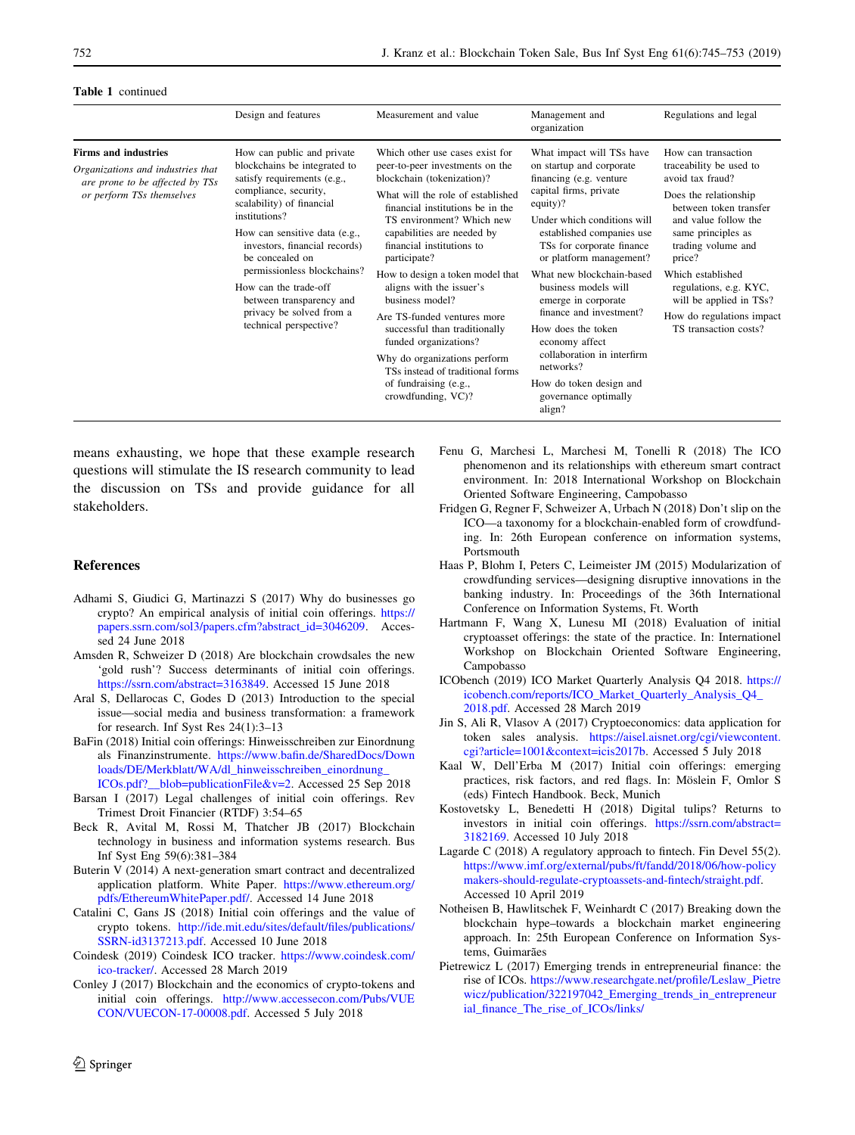#### <span id="page-7-0"></span>Table 1 continued

|                                                                                                                                  | Design and features                                                                                                                                                                                                                                                                                                                                                                             | Measurement and value                                                                                                                                                                                                                                                                                                                                                                                                                                                                                                                                                            | Management and<br>organization                                                                                                                                                                                                                                                                                                                                                                                                                                                                     | Regulations and legal                                                                                                                                                                                                                                                                                                               |
|----------------------------------------------------------------------------------------------------------------------------------|-------------------------------------------------------------------------------------------------------------------------------------------------------------------------------------------------------------------------------------------------------------------------------------------------------------------------------------------------------------------------------------------------|----------------------------------------------------------------------------------------------------------------------------------------------------------------------------------------------------------------------------------------------------------------------------------------------------------------------------------------------------------------------------------------------------------------------------------------------------------------------------------------------------------------------------------------------------------------------------------|----------------------------------------------------------------------------------------------------------------------------------------------------------------------------------------------------------------------------------------------------------------------------------------------------------------------------------------------------------------------------------------------------------------------------------------------------------------------------------------------------|-------------------------------------------------------------------------------------------------------------------------------------------------------------------------------------------------------------------------------------------------------------------------------------------------------------------------------------|
| <b>Firms and industries</b><br>Organizations and industries that<br>are prone to be affected by TSs<br>or perform TSs themselves | How can public and private<br>blockchains be integrated to<br>satisfy requirements (e.g.,<br>compliance, security,<br>scalability) of financial<br>institutions?<br>How can sensitive data (e.g.,<br>investors, financial records)<br>be concealed on<br>permissionless blockchains?<br>How can the trade-off<br>between transparency and<br>privacy be solved from a<br>technical perspective? | Which other use cases exist for<br>peer-to-peer investments on the<br>blockchain (tokenization)?<br>What will the role of established<br>financial institutions be in the<br>TS environment? Which new<br>capabilities are needed by<br>financial institutions to<br>participate?<br>How to design a token model that<br>aligns with the issuer's<br>business model?<br>Are TS-funded ventures more<br>successful than traditionally<br>funded organizations?<br>Why do organizations perform<br>TSs instead of traditional forms<br>of fundraising (e.g.,<br>crowdfunding, VC)? | What impact will TSs have<br>on startup and corporate<br>financing (e.g. venture)<br>capital firms, private<br>equity)?<br>Under which conditions will<br>established companies use<br>TSs for corporate finance<br>or platform management?<br>What new blockchain-based<br>business models will<br>emerge in corporate<br>finance and investment?<br>How does the token<br>economy affect<br>collaboration in interfirm<br>networks?<br>How do token design and<br>governance optimally<br>align? | How can transaction<br>traceability be used to<br>avoid tax fraud?<br>Does the relationship<br>between token transfer<br>and value follow the<br>same principles as<br>trading volume and<br>price?<br>Which established<br>regulations, e.g. KYC,<br>will be applied in TSs?<br>How do regulations impact<br>TS transaction costs? |

means exhausting, we hope that these example research questions will stimulate the IS research community to lead the discussion on TSs and provide guidance for all stakeholders.

### References

- Adhami S, Giudici G, Martinazzi S (2017) Why do businesses go crypto? An empirical analysis of initial coin offerings. [https://](https://papers.ssrn.com/sol3/papers.cfm%3fabstract_id%3d3046209) [papers.ssrn.com/sol3/papers.cfm?abstract\\_id=3046209.](https://papers.ssrn.com/sol3/papers.cfm%3fabstract_id%3d3046209) Accessed 24 June 2018
- Amsden R, Schweizer D (2018) Are blockchain crowdsales the new 'gold rush'? Success determinants of initial coin offerings. <https://ssrn.com/abstract=3163849>. Accessed 15 June 2018
- Aral S, Dellarocas C, Godes D (2013) Introduction to the special issue—social media and business transformation: a framework for research. Inf Syst Res 24(1):3–13
- BaFin (2018) Initial coin offerings: Hinweisschreiben zur Einordnung als Finanzinstrumente. [https://www.bafin.de/SharedDocs/Down](https://www.bafin.de/SharedDocs/Downloads/DE/Merkblatt/WA/dl_hinweisschreiben_einordnung_ICOs.pdf%3f__blob%3dpublicationFile%26v%3d2) [loads/DE/Merkblatt/WA/dl\\_hinweisschreiben\\_einordnung\\_](https://www.bafin.de/SharedDocs/Downloads/DE/Merkblatt/WA/dl_hinweisschreiben_einordnung_ICOs.pdf%3f__blob%3dpublicationFile%26v%3d2)
- [ICOs.pdf?\\_\\_blob=publicationFile&v=2.](https://www.bafin.de/SharedDocs/Downloads/DE/Merkblatt/WA/dl_hinweisschreiben_einordnung_ICOs.pdf%3f__blob%3dpublicationFile%26v%3d2) Accessed 25 Sep 2018 Barsan I (2017) Legal challenges of initial coin offerings. Rev
- Trimest Droit Financier (RTDF) 3:54–65
- Beck R, Avital M, Rossi M, Thatcher JB (2017) Blockchain technology in business and information systems research. Bus Inf Syst Eng 59(6):381–384
- Buterin V (2014) A next-generation smart contract and decentralized application platform. White Paper. [https://www.ethereum.org/](https://www.ethereum.org/pdfs/EthereumWhitePaper.pdf/) [pdfs/EthereumWhitePaper.pdf/.](https://www.ethereum.org/pdfs/EthereumWhitePaper.pdf/) Accessed 14 June 2018
- Catalini C, Gans JS (2018) Initial coin offerings and the value of crypto tokens. [http://ide.mit.edu/sites/default/files/publications/](http://ide.mit.edu/sites/default/files/publications/SSRN-id3137213.pdf) [SSRN-id3137213.pdf.](http://ide.mit.edu/sites/default/files/publications/SSRN-id3137213.pdf) Accessed 10 June 2018
- Coindesk (2019) Coindesk ICO tracker. [https://www.coindesk.com/](https://www.coindesk.com/ico-tracker/) [ico-tracker/](https://www.coindesk.com/ico-tracker/). Accessed 28 March 2019
- Conley J (2017) Blockchain and the economics of crypto-tokens and initial coin offerings. [http://www.accessecon.com/Pubs/VUE](http://www.accessecon.com/Pubs/VUECON/VUECON-17-00008.pdf) [CON/VUECON-17-00008.pdf](http://www.accessecon.com/Pubs/VUECON/VUECON-17-00008.pdf). Accessed 5 July 2018
- Fenu G, Marchesi L, Marchesi M, Tonelli R (2018) The ICO phenomenon and its relationships with ethereum smart contract environment. In: 2018 International Workshop on Blockchain Oriented Software Engineering, Campobasso
- Fridgen G, Regner F, Schweizer A, Urbach N (2018) Don't slip on the ICO—a taxonomy for a blockchain-enabled form of crowdfunding. In: 26th European conference on information systems, Portsmouth
- Haas P, Blohm I, Peters C, Leimeister JM (2015) Modularization of crowdfunding services—designing disruptive innovations in the banking industry. In: Proceedings of the 36th International Conference on Information Systems, Ft. Worth
- Hartmann F, Wang X, Lunesu MI (2018) Evaluation of initial cryptoasset offerings: the state of the practice. In: Internationel Workshop on Blockchain Oriented Software Engineering, Campobasso
- ICObench (2019) ICO Market Quarterly Analysis Q4 2018. [https://](https://icobench.com/reports/ICO_Market_Quarterly_Analysis_Q4_2018.pdf) [icobench.com/reports/ICO\\_Market\\_Quarterly\\_Analysis\\_Q4\\_](https://icobench.com/reports/ICO_Market_Quarterly_Analysis_Q4_2018.pdf) [2018.pdf](https://icobench.com/reports/ICO_Market_Quarterly_Analysis_Q4_2018.pdf). Accessed 28 March 2019
- Jin S, Ali R, Vlasov A (2017) Cryptoeconomics: data application for token sales analysis. [https://aisel.aisnet.org/cgi/viewcontent.](https://aisel.aisnet.org/cgi/viewcontent.cgi?article=1001&context=icis2017b) [cgi?article=1001&context=icis2017b.](https://aisel.aisnet.org/cgi/viewcontent.cgi?article=1001&context=icis2017b) Accessed 5 July 2018
- Kaal W, Dell'Erba M (2017) Initial coin offerings: emerging practices, risk factors, and red flags. In: Möslein F, Omlor S (eds) Fintech Handbook. Beck, Munich
- Kostovetsky L, Benedetti H (2018) Digital tulips? Returns to investors in initial coin offerings. [https://ssrn.com/abstract=](https://ssrn.com/abstract=3182169) [3182169.](https://ssrn.com/abstract=3182169) Accessed 10 July 2018
- Lagarde C (2018) A regulatory approach to fintech. Fin Devel 55(2). [https://www.imf.org/external/pubs/ft/fandd/2018/06/how-policy](https://www.imf.org/external/pubs/ft/fandd/2018/06/how-policymakers-should-regulate-cryptoassets-and-fintech/straight.pdf) [makers-should-regulate-cryptoassets-and-fintech/straight.pdf.](https://www.imf.org/external/pubs/ft/fandd/2018/06/how-policymakers-should-regulate-cryptoassets-and-fintech/straight.pdf) Accessed 10 April 2019
- Notheisen B, Hawlitschek F, Weinhardt C (2017) Breaking down the blockchain hype–towards a blockchain market engineering approach. In: 25th European Conference on Information Systems, Guimarães
- Pietrewicz L (2017) Emerging trends in entrepreneurial finance: the rise of ICOs. [https://www.researchgate.net/profile/Leslaw\\_Pietre](https://www.researchgate.net/profile/Leslaw_Pietrewicz/publication/322197042_Emerging_trends_in_entrepreneurial_finance_The_rise_of_ICOs/links/5a4ab049aca272d294646e6b/Emerging-trends-in-entrepreneurial-finance-The-rise-of-ICOs.pdf) [wicz/publication/322197042\\_Emerging\\_trends\\_in\\_entrepreneur](https://www.researchgate.net/profile/Leslaw_Pietrewicz/publication/322197042_Emerging_trends_in_entrepreneurial_finance_The_rise_of_ICOs/links/5a4ab049aca272d294646e6b/Emerging-trends-in-entrepreneurial-finance-The-rise-of-ICOs.pdf) [ial\\_finance\\_The\\_rise\\_of\\_ICOs/links/](https://www.researchgate.net/profile/Leslaw_Pietrewicz/publication/322197042_Emerging_trends_in_entrepreneurial_finance_The_rise_of_ICOs/links/5a4ab049aca272d294646e6b/Emerging-trends-in-entrepreneurial-finance-The-rise-of-ICOs.pdf)